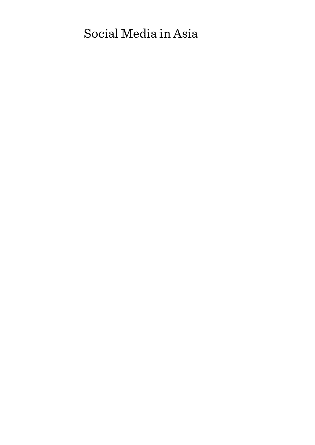# Social Media in Asia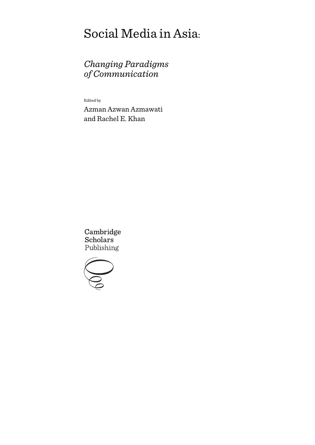# Social Media in Asia:

# *Changing Paradigms of Communication*

Edited by

Azman Azwan Azmawati and Rachel E. Khan

Cambridge **Scholars** Publishing

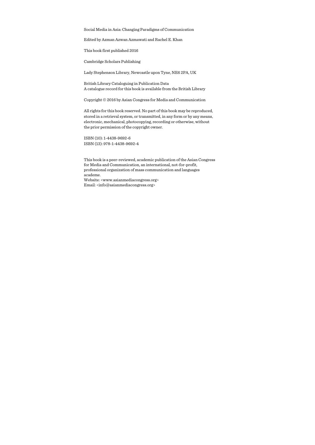Social Media in Asia: Changing Paradigms of Communication

Edited by Azman Azwan Azmawati and Rachel E. Khan

This book first published 2016

Cambridge Scholars Publishing

Lady Stephenson Library, Newcastle upon Tyne, NE6 2PA, UK

British Library Cataloguing in Publication Data A catalogue record for this book is available from the British Library

Copyright © 2016 by Asian Congress for Media and Communication

All rights for this book reserved. No part of this book may be reproduced, stored in a retrieval system, or transmitted, in any form or by any means, electronic, mechanical, photocopying, recording or otherwise, without the prior permission of the copyright owner.

ISBN (10): 1-4438-9692-6 ISBN (13): 978-1-4438-9692-4

This book is a peer-reviewed, academic publication of the Asian Congress for Media and Communication, an international, not-for-profit, professional organization of mass communication and languages academe. Website: <www.asianmediacongress.org> Email: <info@asianmediacongress.org>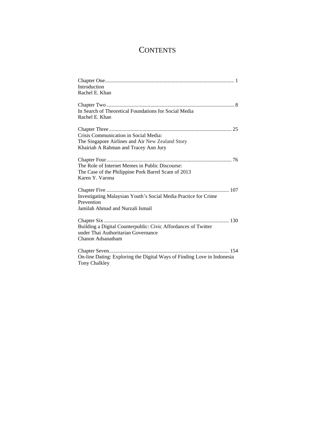# **CONTENTS**

| Introduction<br>Rachel E. Khan                                                                                                     |
|------------------------------------------------------------------------------------------------------------------------------------|
| In Search of Theoretical Foundations for Social Media<br>Rachel E. Khan                                                            |
| Crisis Communication in Social Media:<br>The Singapore Airlines and Air New Zealand Story<br>Khairiah A Rahman and Tracey Ann Jury |
| The Role of Internet Memes in Public Discourse:<br>The Case of the Philippine Pork Barrel Scam of 2013<br>Karen Y. Varona          |
| Investigating Malaysian Youth's Social Media Practice for Crime<br>Prevention<br>Jamilah Ahmad and Nurzali Ismail                  |
| Building a Digital Counterpublic: Civic Affordances of Twitter<br>under Thai Authoritarian Governance<br>Chanon Adsanatham         |
| On-line Dating: Exploring the Digital Ways of Finding Love in Indonesia<br><b>Tony Chalkley</b>                                    |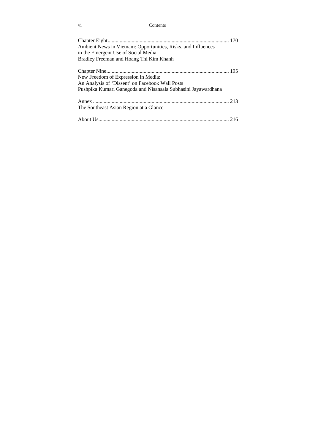vi Contents

| Ambient News in Vietnam: Opportunities, Risks, and Influences<br>in the Emergent Use of Social Media<br>Bradley Freeman and Hoang Thi Kim Khanh         |
|---------------------------------------------------------------------------------------------------------------------------------------------------------|
| New Freedom of Expression in Media:<br>An Analysis of 'Dissent' on Facebook Wall Posts<br>Pushpika Kumari Ganegoda and Nisansala Subhasini Jayawardhana |
| The Southeast Asian Region at a Glance                                                                                                                  |
|                                                                                                                                                         |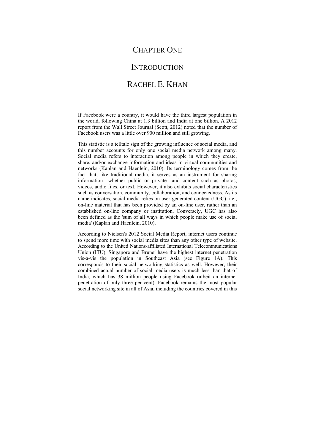# CHAPTER ONE

# **INTRODUCTION**

# RACHEL E. KHAN

If Facebook were a country, it would have the third largest population in the world, following China at 1.3 billion and India at one billion. A 2012 report from the Wall Street Journal (Scott, 2012) noted that the number of Facebook users was a little over 900 million and still growing.

This statistic is a telltale sign of the growing influence of social media, and this number accounts for only one social media network among many. Social media refers to interaction among people in which they create, share, and/or exchange information and ideas in virtual communities and networks (Kaplan and Haenlein, 2010). Its terminology comes from the fact that, like traditional media, it serves as an instrument for sharing information—whether public or private—and content such as photos, videos, audio files, or text. However, it also exhibits social characteristics such as conversation, community, collaboration, and connectedness. As its name indicates, social media relies on user-generated content (UGC), i.e., on-line material that has been provided by an on-line user, rather than an established on-line company or institution. Conversely, UGC has also been defined as the 'sum of all ways in which people make use of social media' (Kaplan and Haenlein, 2010).

According to Nielsen's 2012 Social Media Report, internet users continue to spend more time with social media sites than any other type of website. According to the United Nations-affiliated International Telecommunications Union (ITU), Singapore and Brunei have the highest internet penetration vis-à-vis the population in Southeast Asia (see Figure 1A). This corresponds to their social networking statistics as well. However, their combined actual number of social media users is much less than that of India, which has 38 million people using Facebook (albeit an internet penetration of only three per cent). Facebook remains the most popular social networking site in all of Asia, including the countries covered in this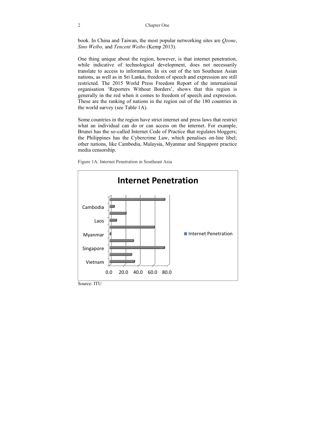book. In China and Taiwan, the most popular networking sites are *Qzone*, *Sino Weibo,* and *Tencent Weibo* (Kemp p 2013).

One thing unique about the region, however, is that internet penetration, while indicative of technological development, does not necessarily translate to access to information. In six out of the ten Southeast Asian nations, as well as in Sri Lanka, freedom of speech and expression are still restricted. The 2015 World Press Freedom Report of the international organisation 'Reporters Without Borders', shows that this region is generally in the red when it comes to freedom of speech and expression. These are the ranking of nations in the region out of the 180 countries in the world survey (see Table 1A).

Some countries in the region have strict internet and press laws that restrict what an individual can do or can access on the internet. For example, Brunei has the so-called Internet Code of Practice that regulates bloggers; the Philippines has the Cybercrime Law, which penalises on-line libel; other nations, like Cambodia, Malaysia, Myanmar and Singapore practice media censorship.



Figure 1A: Internet Penetration in Southeast Asia

 $\overline{2}$ 

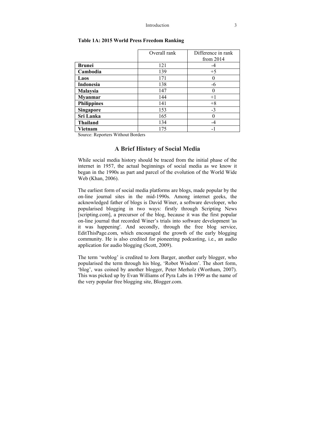|                    | Overall rank | Difference in rank |  |
|--------------------|--------------|--------------------|--|
|                    |              | from $2014$        |  |
| <b>Brunei</b>      | 121          | -4                 |  |
| Cambodia           | 139          | $+5$               |  |
| Laos               | 171          |                    |  |
| Indonesia          | 138          | -6                 |  |
| Malaysia           | 147          |                    |  |
| <b>Myanmar</b>     | 144          | $+1$               |  |
| <b>Philippines</b> | 141          | $+8$               |  |
| Singapore          | 153          | $-3$               |  |
| Sri Lanka          | 165          |                    |  |
| <b>Thailand</b>    | 134          |                    |  |
| Vietnam            | 175          |                    |  |

#### **Table 1A: 2015 World Press Freedom Ranking**

Source: Reporters Without Borders

## **A Brief History of Social Media**

While social media history should be traced from the initial phase of the internet in 1957, the actual beginnings of social media as we know it began in the 1990s as part and parcel of the evolution of the World Wide Web (Khan, 2006).

The earliest form of social media platforms are blogs, made popular by the on-line journal sites in the mid-1990s. Among internet geeks, the acknowledged father of blogs is David Winer, a software developer, who popularised blogging in two ways: firstly through Scripting News [scripting.com], a precursor of the blog, because it was the first popular on-line journal that recorded Winer's trials into software development 'as it was happening'. And secondly, through the free blog service, EditThisPage.com, which encouraged the growth of the early blogging community. He is also credited for pioneering podcasting, i.e., an audio application for audio blogging (Scott, 2009).

The term 'weblog' is credited to Jorn Barger, another early blogger, who popularised the term through his blog, 'Robot Wisdom'. The short form, 'blog', was coined by another blogger, Peter Merholz (Wortham, 2007). This was picked up by Evan Williams of Pyra Labs in 1999 as the name of the very popular free blogging site, Blogger.com.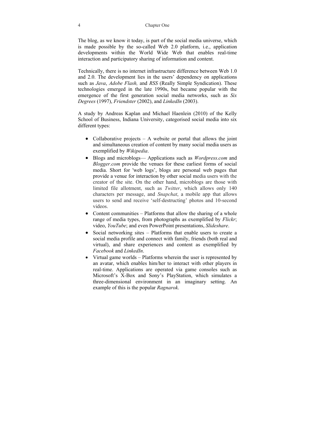The blog, as we know it today, is part of the social media universe, which is made possible by the so-called Web 2.0 platform, i.e., application developments within the World Wide Web that enables real-time interaction and participatory sharing of information and content.

Technically, there is no internet infrastructure difference between Web 1.0 and 2.0. The development lies in the users' dependency on applications such as *Java*, *Adobe Flash,* and *RSS* (Really Simple Syndication). These technologies emerged in the late 1990s, but became popular with the emergence of the first generation social media networks, such as *Six Degrees* (1997), *Friendster* (2002), and *LinkedIn* (2003).

A study by Andreas Kaplan and Michael Haenlein (2010) of the Kelly School of Business, Indiana University, categorised social media into six different types:

- Collaborative projects  $-$  A website or portal that allows the joint and simultaneous creation of content by many social media users as exemplified by *Wikipedia*.
- Blogs and microblogs— Applications such as *Wordpress.com* and *Blogger.com* provide the venues for these earliest forms of social media. Short for 'web logs', blogs are personal web pages that provide a venue for interaction by other social media users with the creator of the site. On the other hand, microblogs are those with limited file allotment, such as *Twitter*, which allows only 140 characters per message, and *Snapchat*, a mobile app that allows users to send and receive 'self-destructing' photos and 10-second videos.
- Content communities Platforms that allow the sharing of a whole range of media types, from photographs as exemplified by *Flickr*; video, *YouTube*; and even PowerPoint presentations, *Slideshare*.
- Social networking sites Platforms that enable users to create a social media profile and connect with family, friends (both real and virtual), and share experiences and content as exemplified by *Facebook* and *LinkedIn*.
- Virtual game worlds Platforms wherein the user is represented by an avatar, which enables him/her to interact with other players in real-time. Applications are operated via game consoles such as Microsoft's X-Box and Sony's PlayStation, which simulates a three-dimensional environment in an imaginary setting. An example of this is the popular *Ragnarok*.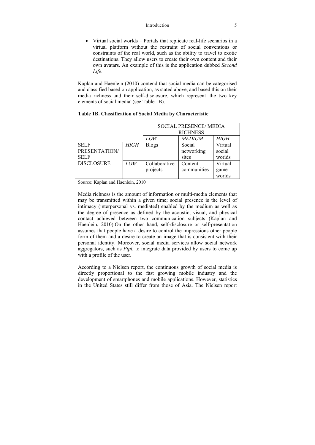#### Introduction 5

• Virtual social worlds – Portals that replicate real-life scenarios in a virtual platform without the restraint of social conventions or constraints of the real world, such as the ability to travel to exotic destinations. They allow users to create their own content and their own avatars. An example of this is the application dubbed *Second Life*.

Kaplan and Haenlein (2010) contend that social media can be categorised and classified based on application, as stated above, and based this on their media richness and their self-disclosure, which represent 'the two key elements of social media' (see Table 1B).

|                   |      | <b>SOCIAL PRESENCE/ MEDIA</b><br><b>RICHNESS</b> |               |         |
|-------------------|------|--------------------------------------------------|---------------|---------|
|                   |      |                                                  |               |         |
|                   |      | LOW                                              | <b>MEDIUM</b> | HIGH    |
| <b>SELF</b>       | HIGH | <b>Blogs</b>                                     | Social        | Virtual |
| PRESENTATION/     |      |                                                  | networking    | social  |
| <b>SELF</b>       |      |                                                  | sites         | worlds  |
| <b>DISCLOSURE</b> | LOW  | Collaborative                                    | Content       | Virtual |
|                   |      | projects                                         | communities   | game    |
|                   |      |                                                  |               | worlds  |

#### **Table 1B. Classification of Social Media by Characteristic**

Source: Kaplan and Haenlein, 2010

Media richness is the amount of information or multi-media elements that may be transmitted within a given time; social presence is the level of intimacy (interpersonal vs. mediated) enabled by the medium as well as the degree of presence as defined by the acoustic, visual, and physical contact achieved between two communication subjects (Kaplan and Haenlein, 2010).On the other hand, self-disclosure or self-presentation assumes that people have a desire to control the impressions other people form of them and a desire to create an image that is consistent with their personal identity. Moreover, social media services allow social network aggregators, such as *Pipl*, to integrate data provided by users to come up with a profile of the user.

According to a Nielsen report, the continuous growth of social media is directly proportional to the fast growing mobile industry and the development of smartphones and mobile applications. However, statistics in the United States still differ from those of Asia. The Nielsen report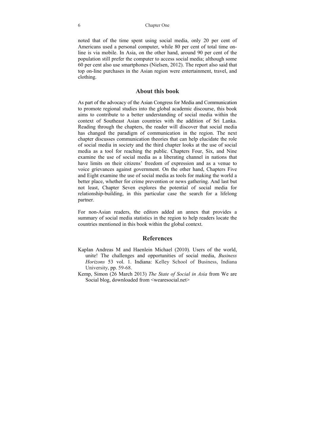6 Chapter One

noted that of the time spent using social media, only 20 per cent of Americans used a personal computer, while 80 per cent of total time online is via mobile. In Asia, on the other hand, around 90 per cent of the population still prefer the computer to access social media; although some 60 per cent also use smartphones (Nielsen, 2012). The report also said that top on-line purchases in the Asian region were entertainment, travel, and clothing.

#### **About this book**

As part of the advocacy of the Asian Congress for Media and Communication to promote regional studies into the global academic discourse, this book aims to contribute to a better understanding of social media within the context of Southeast Asian countries with the addition of Sri Lanka. Reading through the chapters, the reader will discover that social media has changed the paradigm of communication in the region. The next chapter discusses communication theories that can help elucidate the role of social media in society and the third chapter looks at the use of social media as a tool for reaching the public. Chapters Four, Six, and Nine examine the use of social media as a liberating channel in nations that have limits on their citizens' freedom of expression and as a venue to voice grievances against government. On the other hand, Chapters Five and Eight examine the use of social media as tools for making the world a better place, whether for crime prevention or news gathering. And last but not least, Chapter Seven explores the potential of social media for relationship-building, in this particular case the search for a lifelong partner.

For non-Asian readers, the editors added an annex that provides a summary of social media statistics in the region to help readers locate the countries mentioned in this book within the global context.

#### **References**

- Kaplan Andreas M and Haenlein Michael (2010). Users of the world, unite! The challenges and opportunities of social media, *Business Horizons* 53 vol. 1. Indiana: Kelley School of Business, Indiana University, pp. 59-68.
- Kemp, Simon (26 March 2013) *The State of Social in Asia* from We are Social blog, downloaded from <wearesocial.net>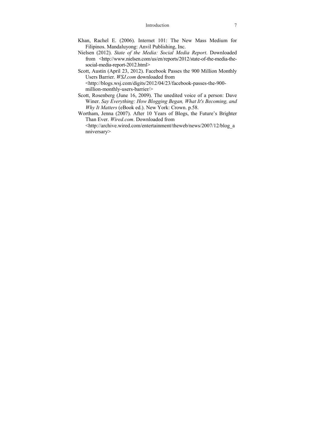#### Introduction 7

- Khan, Rachel E. (2006). Internet 101: The New Mass Medium for Filipinos. Mandaluyong: Anvil Publishing, Inc.
- Nielsen (2012). *State of the Media: Social Media Report*. Downloaded from <http://www.nielsen.com/us/en/reports/2012/state-of-the-media-thesocial-media-report-2012.html>
- Scott, Austin (April 23, 2012). Facebook Passes the 900 Million Monthly Users Barrier. *WSJ.com* downloaded from <http://blogs.wsj.com/digits/2012/04/23/facebook-passes-the-900 million-monthly-users-barrier/>
- Scott, Rosenberg (June 16, 2009). The unedited voice of a person: Dave Winer. *Say Everything: How Blogging Began, What It's Becoming, and Why It Matters* (eBook ed.). New York: Crown. p.58.
- Wortham, Jenna (2007). After 10 Years of Blogs, the Future's Brighter Than Ever. *Wired.com*. Downloaded from <http://archive.wired.com/entertainment/theweb/news/2007/12/blog\_a nniversary>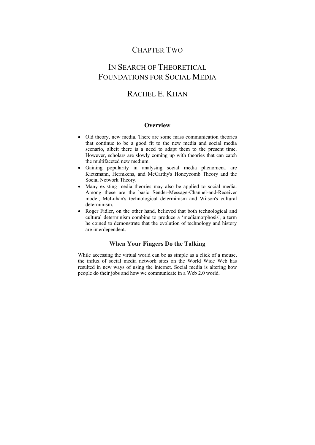# CHAPTER TWO

# IN SEARCH OF THEORETICAL FOUNDATIONS FOR SOCIAL MEDIA

# RACHEL E. KHAN

### **Overview**

- Old theory, new media. There are some mass communication theories that continue to be a good fit to the new media and social media scenario, albeit there is a need to adapt them to the present time. However, scholars are slowly coming up with theories that can catch the multifaceted new medium.
- Gaining popularity in analysing social media phenomena are Kietzmann, Hermkens, and McCarthy's Honeycomb Theory and the Social Network Theory.
- Many existing media theories may also be applied to social media. Among these are the basic Sender-Message-Channel-and-Receiver model, McLuhan's technological determinism and Wilson's cultural determinism.
- Roger Fidler, on the other hand, believed that both technological and cultural determinism combine to produce a 'mediamorphosis', a term he coined to demonstrate that the evolution of technology and history are interdependent.

### **When Your Fingers Do the Talking**

While accessing the virtual world can be as simple as a click of a mouse, the influx of social media network sites on the World Wide Web has resulted in new ways of using the internet. Social media is altering how people do their jobs and how we communicate in a Web 2.0 world.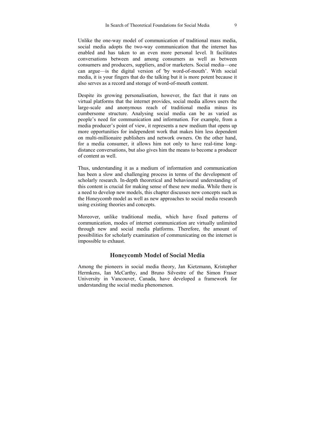Unlike the one-way model of communication of traditional mass media, social media adopts the two-way communication that the internet has enabled and has taken to an even more personal level. It facilitates conversations between and among consumers as well as between consumers and producers, suppliers, and/or marketers. Social media—one can argue—is the digital version of 'by word-of-mouth'. With social media, it is your fingers that do the talking but it is more potent because it also serves as a record and storage of word-of-mouth content.

Despite its growing personalisation, however, the fact that it runs on virtual platforms that the internet provides, social media allows users the large-scale and anonymous reach of traditional media minus its cumbersome structure. Analysing social media can be as varied as people's need for communication and information. For example, from a media producer's point of view, it represents a new medium that opens up more opportunities for independent work that makes him less dependent on multi-millionaire publishers and network owners. On the other hand, for a media consumer, it allows him not only to have real-time longdistance conversations, but also gives him the means to become a producer of content as well.

Thus, understanding it as a medium of information and communication has been a slow and challenging process in terms of the development of scholarly research. In-depth theoretical and behavioural understanding of this content is crucial for making sense of these new media. While there is a need to develop new models, this chapter discusses new concepts such as the Honeycomb model as well as new approaches to social media research using existing theories and concepts.

Moreover, unlike traditional media, which have fixed patterns of communication, modes of internet communication are virtually unlimited through new and social media platforms. Therefore, the amount of possibilities for scholarly examination of communicating on the internet is impossible to exhaust.

### **Honeycomb Model of Social Media**

Among the pioneers in social media theory, Jan Kietzmann, Kristopher Hermkens, Ian McCarthy, and Bruno Silvestre of the Simon Fraser University in Vancouver, Canada, have developed a framework for understanding the social media phenomenon.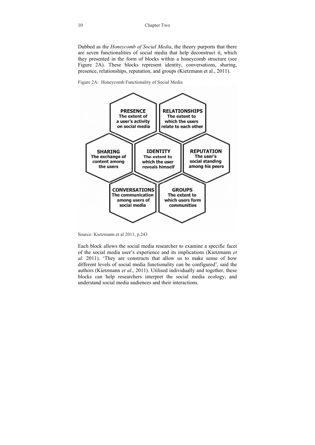Dubbed as the *Honeycomb of Social Media*, the theory purports that there are seven functionalities of social media that help deconstruct it, which they presented in the form of blocks within a honeycomb structure (see Figure 2A). These blocks represent identity, conversations, sharing, presence, relationships, reputation, and groups (Kietzmann et al., 2011).

Figure 2A: Honeycomb Functionality of Social Media



Source: Kietzmann et al 2011, p.243

Each block allows the social media researcher to examine a specific facet of the social media user's experience and its implications (Kietzmann *et al*. 2011). 'They are constructs that allow us to make sense of how different levels of social media functionality can be configured', said the authors (Kietzmann *et al*., 2011). Utilised individually and together, these blocks can help researchers interpret the social media ecology, and understand social media audiences and their interactions.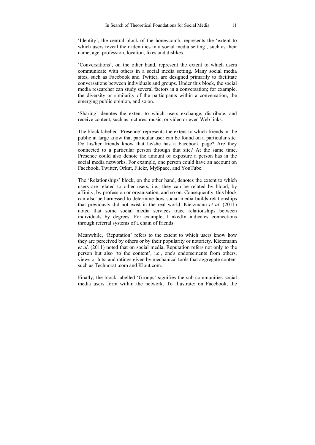'Identity', the central block of the honeycomb, represents the 'extent to which users reveal their identities in a social media setting', such as their name, age, profession, location, likes and dislikes.

'Conversations', on the other hand, represent the extent to which users communicate with others in a social media setting. Many social media sites, such as Facebook and Twitter, are designed primarily to facilitate conversations between individuals and groups. Under this block, the social media researcher can study several factors in a conversation; for example, the diversity or similarity of the participants within a conversation, the emerging public opinion, and so on.

'Sharing' denotes the extent to which users exchange, distribute, and receive content, such as pictures, music, or video or even Web links.

The block labelled 'Presence' represents the extent to which friends or the public at large know that particular user can be found on a particular site. Do his/her friends know that he/she has a Facebook page? Are they connected to a particular person through that site? At the same time, Presence could also denote the amount of exposure a person has in the social media networks. For example, one person could have an account on Facebook, Twitter, Orkut, Flickr, MySpace, and YouTube.

The 'Relationships' block, on the other hand, denotes the extent to which users are related to other users, i.e., they can be related by blood, by affinity, by profession or organisation, and so on. Consequently, this block can also be harnessed to determine how social media builds relationships that previously did not exist in the real world. Kietzmann *et al*. (2011) noted that some social media services trace relationships between individuals by degrees. For example, LinkedIn indicates connections through referral systems of a chain of friends.

Meanwhile, 'Reputation' refers to the extent to which users know how they are perceived by others or by their popularity or notoriety. Kietzmann *et al*. (2011) noted that on social media, Reputation refers not only to the person but also 'to the content', i.e., one's endorsements from others, views or hits, and ratings given by mechanical tools that aggregate content such as Technorati.com and Klout.com.

Finally, the block labelled 'Groups' signifies the sub-communities social media users form within the network. To illustrate: on Facebook, the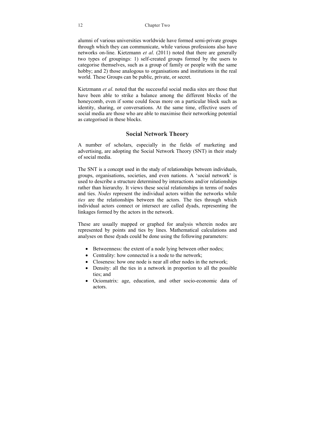alumni of various universities worldwide have formed semi-private groups through which they can communicate, while various professions also have networks on-line. Kietzmann *et al*. (2011) noted that there are generally two types of groupings: 1) self-created groups formed by the users to categorise themselves, such as a group of family or people with the same hobby; and 2) those analogous to organisations and institutions in the real world. These Groups can be public, private, or secret.

Kietzmann *et al*. noted that the successful social media sites are those that have been able to strike a balance among the different blocks of the honeycomb, even if some could focus more on a particular block such as identity, sharing, or conversations. At the same time, effective users of social media are those who are able to maximise their networking potential as categorised in these blocks.

# **Social Network Theory**

A number of scholars, especially in the fields of marketing and advertising, are adopting the Social Network Theory (SNT) in their study of social media.

The SNT is a concept used in the study of relationships between individuals, groups, organisations, societies, and even nations. A 'social network' is used to describe a structure determined by interactions and/or relationships rather than hierarchy. It views these social relationships in terms of nodes and ties. *Nodes* represent the individual actors within the networks while *ties* are the relationships between the actors. The ties through which individual actors connect or intersect are called dyads, representing the linkages formed by the actors in the network.

These are usually mapped or graphed for analysis wherein nodes are represented by points and ties by lines. Mathematical calculations and analyses on these dyads could be done using the following parameters:

- Betweenness: the extent of a node lying between other nodes;
- Centrality: how connected is a node to the network:
- Closeness: how one node is near all other nodes in the network:
- Density: all the ties in a network in proportion to all the possible ties; and
- Ociomatrix: age, education, and other socio-economic data of actors.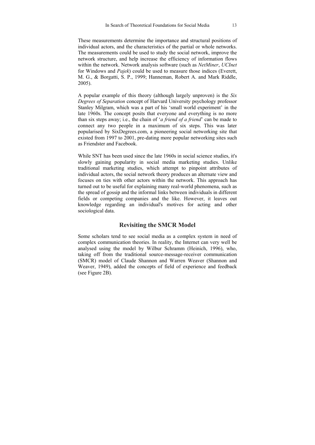These measurements determine the importance and structural positions of individual actors, and the characteristics of the partial or whole networks. The measurements could be used to study the social network, improve the network structure, and help increase the efficiency of information flows within the network. Network analysis software (such as *NetMiner*, *UCInet* for Windows and *Pajek*) could be used to measure those indices (Everett, M. G., & Borgatti, S. P., 1999; Hanneman, Robert A. and Mark Riddle, 2005).

A popular example of this theory (although largely unproven) is the *Six Degrees of Separation* concept of Harvard University psychology professor Stanley Milgram, which was a part of his 'small world experiment' in the late 1960s. The concept posits that everyone and everything is no more than six steps away; i.e., the chain of '*a friend of a friend*' can be made to connect any two people in a maximum of six steps. This was later popularised by SixDegrees.com, a pioneering social networking site that existed from 1997 to 2001, pre-dating more popular networking sites such as Friendster and Facebook.

While SNT has been used since the late 1960s in social science studies, it's slowly gaining popularity in social media marketing studies. Unlike traditional marketing studies, which attempt to pinpoint attributes of individual actors, the social network theory produces an alternate view and focuses on ties with other actors within the network. This approach has turned out to be useful for explaining many real-world phenomena, such as the spread of gossip and the informal links between individuals in different fields or competing companies and the like. However, it leaves out knowledge regarding an individual's motives for acting and other sociological data.

#### **Revisiting the SMCR Model**

Some scholars tend to see social media as a complex system in need of complex communication theories. In reality, the Internet can very well be analysed using the model by Wilbur Schramm (Heinich, 1996), who, taking off from the traditional source-message-receiver communication (SMCR) model of Claude Shannon and Warren Weaver (Shannon and Weaver, 1949), added the concepts of field of experience and feedback (see Figure 2B).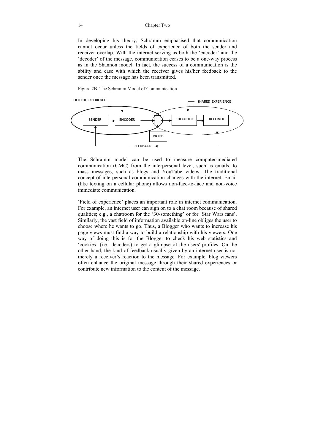In developing his theory, Schramm emphasised that communication cannot occur unless the fields of experience of both the sender and receiver overlap. With the internet serving as both the 'encoder' and the 'decoder' of the message, communication ceases to be a one-way process as in the Shannon model. In fact, the success of a communication is the ability and ease with which the receiver gives his/her feedback to the sender once the message has been transmitted.

Figure 2B. The Schramm Model of Communication



The Schramm model can be used to measure computer-mediated communication (CMC) from the interpersonal level, such as emails, to mass messages, such as blogs and YouTube videos. The traditional concept of interpersonal communication changes with the internet. Email (like texting on a cellular phone) allows non-face-to-face and non-voice immediate communication.

'Field of experience' places an important role in internet communication. For example, an internet user can sign on to a chat room because of shared qualities; e.g., a chatroom for the '30-something' or for 'Star Wars fans'. Similarly, the vast field of information available on-line obliges the user to choose where he wants to go. Thus, a Blogger who wants to increase his page views must find a way to build a relationship with his viewers. One way of doing this is for the Blogger to check his web statistics and 'cookies' (i.e., decoders) to get a glimpse of the users' profiles. On the other hand, the kind of feedback usually given by an internet user is not merely a receiver's reaction to the message. For example, blog viewers often enhance the original message through their shared experiences or contribute new information to the content of the message.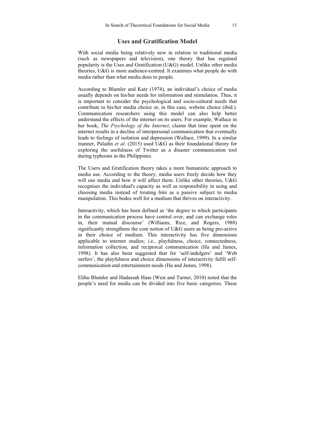### **Uses and Gratification Model**

With social media being relatively new in relation to traditional media (such as newspapers and television), one theory that has regained popularity is the Uses and Gratification (U&G) model. Unlike other media theories, U&G is more audience-centred. It examines what people do with media rather than what media does to people.

According to Blumler and Katz (1974), an individual's choice of media usually depends on his/her needs for information and stimulation. Thus, it is important to consider the psychological and socio-cultural needs that contribute to his/her media choice or, in this case, website choice (ibid.). Communication researchers using this model can also help better understand the effects of the internet on its users. For example, Wallace in her book, *The Psychology of the Internet*, claims that time spent on the internet results in a decline of interpersonal communication that eventually leads to feelings of isolation and depression (Wallace, 1999). In a similar manner, Paladin *et al*. (2015) used U&G as their foundational theory for exploring the usefulness of Twitter as a disaster communication tool during typhoons in the Philippines.

The Users and Gratification theory takes a more humanistic approach to media use. According to the theory, media users freely decide how they will use media and how it will affect them. Unlike other theories, U&G recognises the individual's capacity as well as responsibility in using and choosing media instead of treating him as a passive subject to media manipulation. This bodes well for a medium that thrives on interactivity.

Interactivity, which has been defined as 'the degree to which participants in the communication process have control over, and can exchange roles in, their mutual discourse' (Williams, Rice, and Rogers, 1988) significantly strengthens the core notion of U&G users as being pro-active in their choice of medium. This interactivity has five dimensions applicable to internet studies; i.e., playfulness, choice, connectedness, information collection, and reciprocal communication (Ha and James, 1998). It has also been suggested that for 'self-indulgers' and 'Web surfers', the playfulness and choice dimensions of interactivity fulfil selfcommunication and entertainment needs (Ha and James, 1998).

Elihu Blumler and Hadassah Haas (West and Turner, 2010) noted that the people's need for media can be divided into five basic categories. These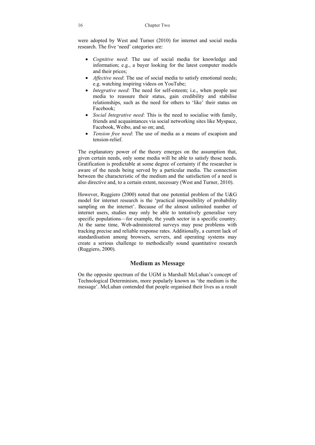were adopted by West and Turner (2010) for internet and social media research. The five 'need' categories are:

- *Cognitive need*: The use of social media for knowledge and information; e.g., a buyer looking for the latest computer models and their prices;
- *Affective need*: The use of social media to satisfy emotional needs; e.g. watching inspiring videos on YouTube;
- *Integrative need*: The need for self-esteem: i.e., when people use media to reassure their status, gain credibility and stabilise relationships, such as the need for others to 'like' their status on Facebook;
- *Social Integrative need*: This is the need to socialise with family, friends and acquaintances via social networking sites like Myspace, Facebook, Weibo, and so on; and,
- *Tension free need*: The use of media as a means of escapism and tension-relief.

The explanatory power of the theory emerges on the assumption that, given certain needs, only some media will be able to satisfy those needs. Gratification is predictable at some degree of certainty if the researcher is aware of the needs being served by a particular media. The connection between the characteristic of the medium and the satisfaction of a need is also directive and, to a certain extent, necessary (West and Turner, 2010).

However, Ruggiero (2000) noted that one potential problem of the U&G model for internet research is the 'practical impossibility of probability sampling on the internet'. Because of the almost unlimited number of internet users, studies may only be able to tentatively generalise very specific populations—for example, the youth sector in a specific country. At the same time, Web-administered surveys may pose problems with tracking precise and reliable response rates. Additionally, a current lack of standardisation among browsers, servers, and operating systems may create a serious challenge to methodically sound quantitative research (Ruggiero, 2000).

## **Medium as Message**

On the opposite spectrum of the UGM is Marshall McLuhan's concept of Technological Determinism, more popularly known as 'the medium is the message'. McLuhan contended that people organised their lives as a result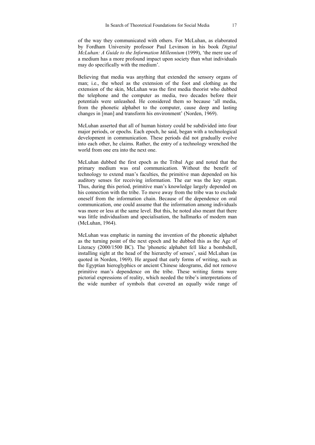of the way they communicated with others. For McLuhan, as elaborated by Fordham University professor Paul Levinson in his book *Digital McLuhan: A Guide to the Information Millennium* (1999), 'the mere use of a medium has a more profound impact upon society than what individuals may do specifically with the medium'.

Believing that media was anything that extended the sensory organs of man; i.e., the wheel as the extension of the foot and clothing as the extension of the skin, McLuhan was the first media theorist who dubbed the telephone and the computer as media, two decades before their potentials were unleashed. He considered them so because 'all media, from the phonetic alphabet to the computer, cause deep and lasting changes in [man] and transform his environment' (Norden, 1969).

McLuhan asserted that all of human history could be subdivided into four major periods, or epochs. Each epoch, he said, began with a technological development in communication. These periods did not gradually evolve into each other, he claims. Rather, the entry of a technology wrenched the world from one era into the next one.

McLuhan dubbed the first epoch as the Tribal Age and noted that the primary medium was oral communication. Without the benefit of technology to extend man's faculties, the primitive man depended on his auditory senses for receiving information. The ear was the key organ. Thus, during this period, primitive man's knowledge largely depended on his connection with the tribe. To move away from the tribe was to exclude oneself from the information chain. Because of the dependence on oral communication, one could assume that the information among individuals was more or less at the same level. But this, he noted also meant that there was little individualism and specialisation, the hallmarks of modern man (McLuhan, 1964).

McLuhan was emphatic in naming the invention of the phonetic alphabet as the turning point of the next epoch and he dubbed this as the Age of Literacy (2000/1500 BC). The 'phonetic alphabet fell like a bombshell, installing sight at the head of the hierarchy of senses', said McLuhan (as quoted in Norden, 1969). He argued that early forms of writing, such as the Egyptian hieroglyphics or ancient Chinese ideograms, did not remove primitive man's dependence on the tribe. These writing forms were pictorial expressions of reality, which needed the tribe's interpretations of the wide number of symbols that covered an equally wide range of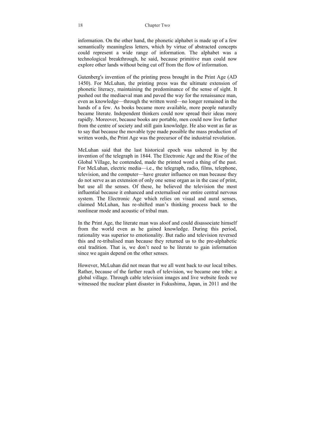information. On the other hand, the phonetic alphabet is made up of a few semantically meaningless letters, which by virtue of abstracted concepts could represent a wide range of information. The alphabet was a technological breakthrough, he said, because primitive man could now explore other lands without being cut off from the flow of information.

Gutenberg's invention of the printing press brought in the Print Age (AD 1450). For McLuhan, the printing press was the ultimate extension of phonetic literacy, maintaining the predominance of the sense of sight. It pushed out the mediaeval man and paved the way for the renaissance man, even as knowledge—through the written word—no longer remained in the hands of a few. As books became more available, more people naturally became literate. Independent thinkers could now spread their ideas more rapidly. Moreover, because books are portable, men could now live farther from the centre of society and still gain knowledge. He also went as far as to say that because the movable type made possible the mass production of written words, the Print Age was the precursor of the industrial revolution.

McLuhan said that the last historical epoch was ushered in by the invention of the telegraph in 1844. The Electronic Age and the Rise of the Global Village, he contended, made the printed word a thing of the past. For McLuhan, electric media—i.e., the telegraph, radio, films, telephone, television, and the computer—have greater influence on man because they do not serve as an extension of only one sense organ as in the case of print, but use all the senses. Of these, he believed the television the most influential because it enhanced and externalised our entire central nervous system. The Electronic Age which relies on visual and aural senses, claimed McLuhan, has re-shifted man's thinking process back to the nonlinear mode and acoustic of tribal man.

In the Print Age, the literate man was aloof and could disassociate himself from the world even as he gained knowledge. During this period, rationality was superior to emotionality. But radio and television reversed this and re-tribalised man because they returned us to the pre-alphabetic oral tradition. That is, we don't need to be literate to gain information since we again depend on the other senses.

However, McLuhan did not mean that we all went back to our local tribes. Rather, because of the farther reach of television, we became one tribe: a global village. Through cable television images and live website feeds we witnessed the nuclear plant disaster in Fukushima, Japan, in 2011 and the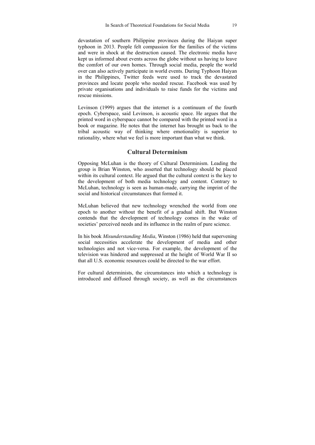devastation of southern Philippine provinces during the Haiyan super typhoon in 2013. People felt compassion for the families of the victims and were in shock at the destruction caused. The electronic media have kept us informed about events across the globe without us having to leave the comfort of our own homes. Through social media, people the world over can also actively participate in world events. During Typhoon Haiyan in the Philippines, Twitter feeds were used to track the devastated provinces and locate people who needed rescue. Facebook was used by private organisations and individuals to raise funds for the victims and rescue missions.

Levinson (1999) argues that the internet is a continuum of the fourth epoch. Cyberspace, said Levinson, is acoustic space. He argues that the printed word in cyberspace cannot be compared with the printed word in a book or magazine. He notes that the internet has brought us back to the tribal acoustic way of thinking where emotionality is superior to rationality, where what we feel is more important than what we think.

### **Cultural Determinism**

Opposing McLuhan is the theory of Cultural Determinism. Leading the group is Brian Winston, who asserted that technology should be placed within its cultural context. He argued that the cultural context is the key to the development of both media technology and content. Contrary to McLuhan, technology is seen as human-made, carrying the imprint of the social and historical circumstances that formed it.

McLuhan believed that new technology wrenched the world from one epoch to another without the benefit of a gradual shift. But Winston contends that the development of technology comes in the wake of societies' perceived needs and its influence in the realm of pure science.

In his book *Misunderstanding Media*, Winston (1986) held that supervening social necessities accelerate the development of media and other technologies and not vice-versa. For example, the development of the television was hindered and suppressed at the height of World War II so that all U.S. economic resources could be directed to the war effort.

For cultural determinists, the circumstances into which a technology is introduced and diffused through society, as well as the circumstances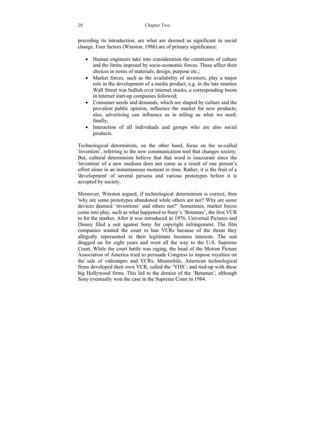preceding its introduction, are what are deemed as significant to social change. Four factors (Winston, 1986) are of primary significance:

- Human engineers take into consideration the constraints of culture and the limits imposed by socio-economic forces. These affect their choices in terms of materials, design, purpose etc.;
- Market forces, such as the availability of investors, play a major role in the development of a media product, e.g. in the late nineties Wall Street was bullish over internet stocks, a corresponding boom in internet start-up companies followed;
- Consumer needs and demands, which are shaped by culture and the prevalent public opinion, influence the market for new products; also, advertising can influence us in telling us what we need; finally,
- Interaction of all individuals and groups who are also social products.

Technological determinists, on the other hand, focus on the so-called 'invention', referring to the new communication tool that changes society. But, cultural determinists believe that that word is inaccurate since the 'invention' of a new medium does not come as a result of one person's effort alone in an instantaneous moment in time. Rather, it is the fruit of a 'development' of several persons and various prototypes before it is accepted by society.

Moreover, Winston argued, if technological determinism is correct, then 'why are some prototypes abandoned while others are not? Why are some devices deemed 'inventions' and others not?' Sometimes, market forces come into play, such as what happened to Sony's 'Betamax', the first VCR to hit the market. After it was introduced in 1976, Universal Pictures and Disney filed a suit against Sony for copyright infringement. The film companies wanted the court to ban VCRs because of the threat they allegedly represented to their legitimate business interests. The suit dragged on for eight years and went all the way to the U.S. Supreme Court. While the court battle was raging, the head of the Motion Picture Association of America tried to persuade Congress to impose royalties on the sale of videotapes and VCRs. Meanwhile, American technological firms developed their own VCR, called the 'VHS', and tied-up with these big Hollywood firms. This led to the demise of the 'Betamax', although Sony eventually won the case in the Supreme Court in 1984.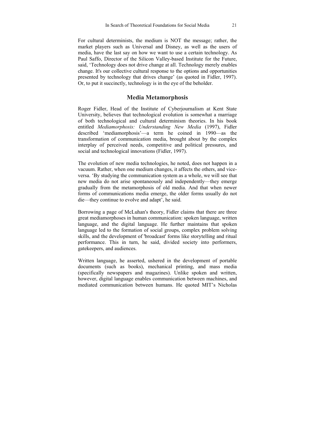For cultural determinists, the medium is NOT the message; rather, the market players such as Universal and Disney, as well as the users of media, have the last say on how we want to use a certain technology. As Paul Saffo, Director of the Silicon Valley-based Institute for the Future, said, 'Technology does not drive change at all. Technology merely enables change. It's our collective cultural response to the options and opportunities presented by technology that drives change' (as quoted in Fidler, 1997). Or, to put it succinctly, technology is in the eye of the beholder.

### **Media Metamorphosis**

Roger Fidler, Head of the Institute of Cyberjournalism at Kent State University, believes that technological evolution is somewhat a marriage of both technological and cultural determinism theories. In his book entitled *Mediamorphosis: Understanding New Media* (1997), Fidler described 'mediamorphosis'—a term he coined in 1990—as the transformation of communication media, brought about by the complex interplay of perceived needs, competitive and political pressures, and social and technological innovations (Fidler, 1997).

The evolution of new media technologies, he noted, does not happen in a vacuum. Rather, when one medium changes, it affects the others, and viceversa. 'By studying the communication system as a whole, we will see that new media do not arise spontaneously and independently—they emerge gradually from the metamorphosis of old media. And that when newer forms of communications media emerge, the older forms usually do not die—they continue to evolve and adapt', he said.

Borrowing a page of McLuhan's theory, Fidler claims that there are three great mediamorphoses in human communication: spoken language, written language, and the digital language. He further maintains that spoken language led to the formation of social groups, complex problem solving skills, and the development of 'broadcast' forms like storytelling and ritual performance. This in turn, he said, divided society into performers, gatekeepers, and audiences.

Written language, he asserted, ushered in the development of portable documents (such as books), mechanical printing, and mass media (specifically newspapers and magazines). Unlike spoken and written, however, digital language enables communication between machines, and mediated communication between humans. He quoted MIT's Nicholas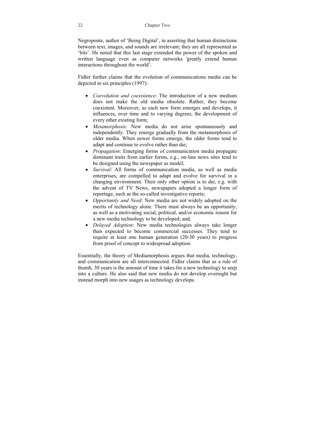22 Chapter Two

Negroponte, author of 'Being Digital', in asserting that human distinctions between text, images, and sounds are irrelevant; they are all represented as 'bits'. He noted that this last stage extended the power of the spoken and written language even as computer networks 'greatly extend human interactions throughout the world'.

Fidler further claims that the evolution of communications media can be depicted in six principles (1997):

- *Coevolution and coexistence*: The introduction of a new medium does not make the old media obsolete. Rather, they become coexistent. Moreover, as each new form emerges and develops, it influences, over time and to varying degrees, the development of every other existing form;
- *Metamorphosis*: New media do not arise spontaneously and independently. They emerge gradually from the metamorphosis of older media. When newer forms emerge, the older forms tend to adapt and continue to evolve rather than die;
- *Propagation*: Emerging forms of communication media propagate dominant traits from earlier forms, e.g., on-line news sites tend to be designed using the newspaper as model;
- *Survival*: All forms of communication media, as well as media enterprises, are compelled to adapt and evolve for survival in a changing environment. Their only other option is to die, e.g. with the advent of TV News, newspapers adopted a longer form of reportage, such as the so-called investigative reports;
- *Opportunity and Need*: New media are not widely adopted on the merits of technology alone. There must always be an opportunity, as well as a motivating social, political, and/or economic reason for a new media technology to be developed; and,
- *Delayed Adoption*: New media technologies always take longer than expected to become commercial successes. They tend to require at least one human generation (20-30 years) to progress from proof of concept to widespread adoption.

Essentially, the theory of Mediamorphosis argues that media, technology, and communication are all interconnected. Fidler claims that as a rule of thumb, 30 years is the amount of time it takes for a new technology to seep into a culture. He also said that new media do not develop overnight but instead morph into new usages as technology develops.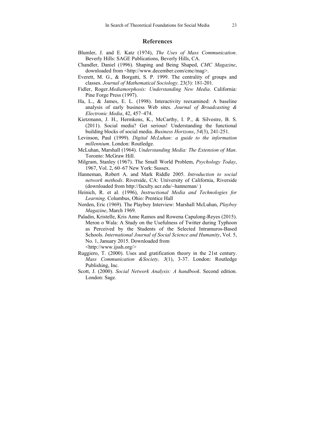### **References**

- Blumler, J. and E. Katz (1974), *The Uses of Mass Communication*. Beverly Hills: SAGE Publications, Beverly Hills, CA.
- Chandler, Daniel (1996). Shaping and Being Shaped, *CMC Magazine*, downloaded from <http://www.december.com/cmc/mag>.
- Everett, M. G., & Borgatti, S. P. 1999. The centrality of groups and classes. *Journal of Mathematical Sociology.* 23(3): 181-201.
- Fidler, Roger.*Mediamorphosis: Understanding New Media*. California: Pine Forge Press (1997).
- Ha, L., & James, E. L. (1998). Interactivity reexamined: A baseline analysis of early business Web sites. *Journal of Broadcasting & Electronic Media*, 42, 457–474.
- Kietzmann, J. H., Hermkens, K., McCarthy, I. P., & Silvestre, B. S. (2011). Social media? Get serious! Understanding the functional building blocks of social media. *Business Horizons*, *54*(3), 241-251.
- Levinson, Paul (1999). *Digital McLuhan: a guide to the information millennium*. London: Routledge.
- McLuhan, Marshall (1964). *Understanding Media: The Extension of Man*. Toronto: McGraw Hill.
- Milgram, Stanley (1967). The Small World Problem, *Psychology Today*, 1967, Vol. 2, 60–67 New York: Sussex.
- Hanneman, Robert A. and Mark Riddle 2005. *Introduction to social network methods*. Riverside, CA: University of California, Riverside (downloaded from http://faculty.ucr.edu/~hanneman/ )
- Heinich, R. et al. (1996), *Instructional Media and Technologies for Learning*. Columbus, Ohio: Prentice Hall
- Norden, Eric (1969). The Playboy Interview: Marshall McLuhan, *Playboy Magazine*, March 1969.
- Paladin, Kristelle, Kris Anne Ramos and Rowena Capulong-Reyes (2015). Meron o Wala: A Study on the Usefulness of Twitter during Typhoon as Perceived by the Students of the Selected Intramuros-Based Schools. *International Journal of Social Science and Humanity*, Vol. 5, No. 1, January 2015. Downloaded from <http://www.ijssh.org/>
- Ruggiero, T. (2000). Uses and gratification theory in the 21st century. *Mass Communication &Society, 3*(1), 3-37. London: Routledge Publishing, Inc.
- Scott, J. (2000). *Social Network Analysis: A handbook*. Second edition. London: Sage.